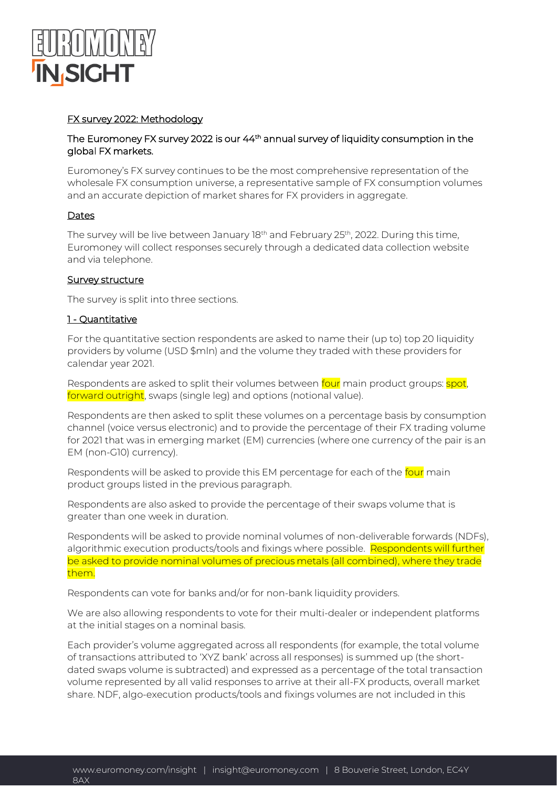

# FX survey 2022: Methodology

### The Euromoney FX survey 2022 is our 44<sup>th</sup> annual survey of liquidity consumption in the global FX markets.

Euromoney's FX survey continues to be the most comprehensive representation of the wholesale FX consumption universe, a representative sample of FX consumption volumes and an accurate depiction of market shares for FX providers in aggregate.

#### Dates

The survey will be live between January 18<sup>th</sup> and February 25<sup>th</sup>, 2022. During this time, Euromoney will collect responses securely through a dedicated data collection website and via telephone.

#### Survey structure

The survey is split into three sections.

# 1 - Quantitative

For the quantitative section respondents are asked to name their (up to) top 20 liquidity providers by volume (USD \$mln) and the volume they traded with these providers for calendar year 2021.

Respondents are asked to split their volumes between four main product groups: spot, forward outright, swaps (single leg) and options (notional value).

Respondents are then asked to split these volumes on a percentage basis by consumption channel (voice versus electronic) and to provide the percentage of their FX trading volume for 2021 that was in emerging market (EM) currencies (where one currency of the pair is an EM (non-G10) currency).

Respondents will be asked to provide this EM percentage for each of the four main product groups listed in the previous paragraph.

Respondents are also asked to provide the percentage of their swaps volume that is greater than one week in duration.

Respondents will be asked to provide nominal volumes of non-deliverable forwards (NDFs), algorithmic execution products/tools and fixings where possible. Respondents will further be asked to provide nominal volumes of precious metals (all combined), where they trade them.

Respondents can vote for banks and/or for non-bank liquidity providers.

We are also allowing respondents to vote for their multi-dealer or independent platforms at the initial stages on a nominal basis.

Each provider's volume aggregated across all respondents (for example, the total volume of transactions attributed to 'XYZ bank' across all responses) is summed up (the shortdated swaps volume is subtracted) and expressed as a percentage of the total transaction volume represented by all valid responses to arrive at their all-FX products, overall market share. NDF, algo-execution products/tools and fixings volumes are not included in this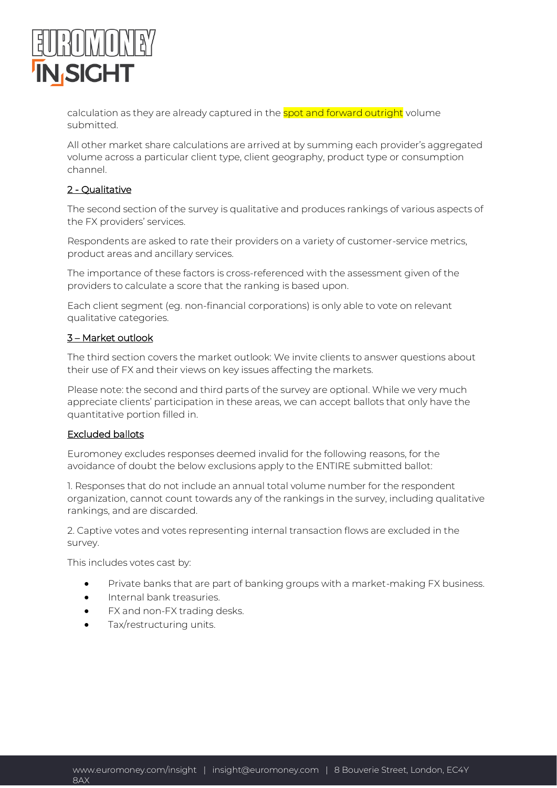

calculation as they are already captured in the spot and forward outright volume submitted.

All other market share calculations are arrived at by summing each provider's aggregated volume across a particular client type, client geography, product type or consumption channel.

# 2 - Qualitative

The second section of the survey is qualitative and produces rankings of various aspects of the FX providers' services.

Respondents are asked to rate their providers on a variety of customer-service metrics, product areas and ancillary services.

The importance of these factors is cross-referenced with the assessment given of the providers to calculate a score that the ranking is based upon.

Each client segment (eg. non-financial corporations) is only able to vote on relevant qualitative categories.

# 3 – Market outlook

The third section covers the market outlook: We invite clients to answer questions about their use of FX and their views on key issues affecting the markets.

Please note: the second and third parts of the survey are optional. While we very much appreciate clients' participation in these areas, we can accept ballots that only have the quantitative portion filled in.

# Excluded ballots

Euromoney excludes responses deemed invalid for the following reasons, for the avoidance of doubt the below exclusions apply to the ENTIRE submitted ballot:

1. Responses that do not include an annual total volume number for the respondent organization, cannot count towards any of the rankings in the survey, including qualitative rankings, and are discarded.

2. Captive votes and votes representing internal transaction flows are excluded in the survey.

This includes votes cast by:

- Private banks that are part of banking groups with a market-making FX business.
- Internal bank treasuries.
- FX and non-FX trading desks.
- Tax/restructuring units.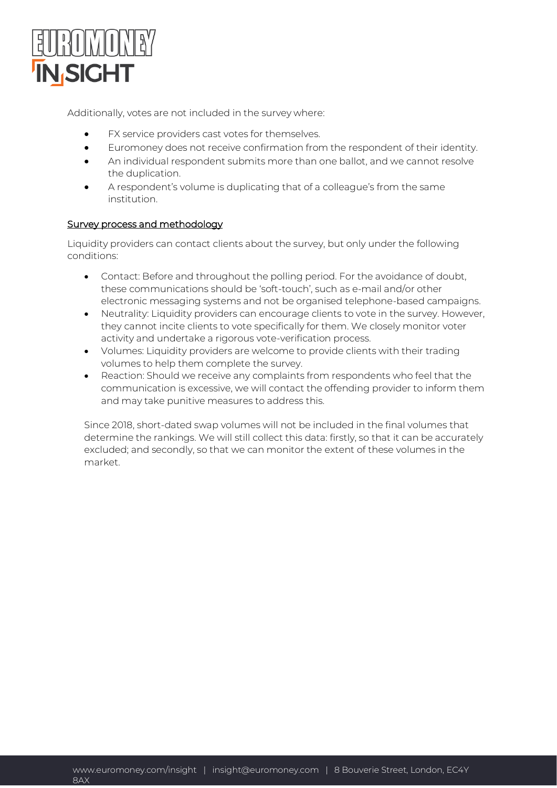

Additionally, votes are not included in the survey where:

- FX service providers cast votes for themselves.
- Euromoney does not receive confirmation from the respondent of their identity.
- An individual respondent submits more than one ballot, and we cannot resolve the duplication.
- A respondent's volume is duplicating that of a colleague's from the same institution.

### Survey process and methodology

Liquidity providers can contact clients about the survey, but only under the following conditions:

- Contact: Before and throughout the polling period. For the avoidance of doubt, these communications should be 'soft-touch', such as e-mail and/or other electronic messaging systems and not be organised telephone-based campaigns.
- Neutrality: Liquidity providers can encourage clients to vote in the survey. However, they cannot incite clients to vote specifically for them. We closely monitor voter activity and undertake a rigorous vote-verification process.
- Volumes: Liquidity providers are welcome to provide clients with their trading volumes to help them complete the survey.
- Reaction: Should we receive any complaints from respondents who feel that the communication is excessive, we will contact the offending provider to inform them and may take punitive measures to address this.

Since 2018, short-dated swap volumes will not be included in the final volumes that determine the rankings. We will still collect this data: firstly, so that it can be accurately excluded; and secondly, so that we can monitor the extent of these volumes in the market.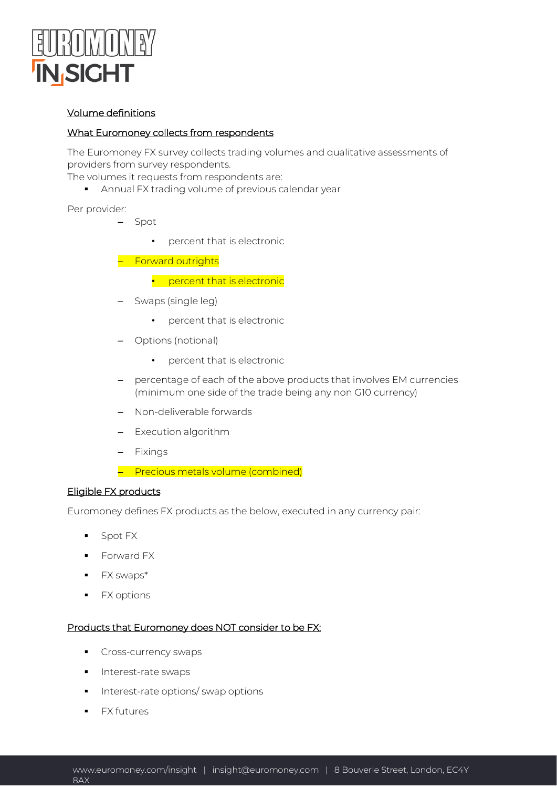

### Volume definitions

### What Euromoney collects from respondents

The Euromoney FX survey collects trading volumes and qualitative assessments of providers from survey respondents.

The volumes it requests from respondents are:

**EXPERIGHTER Annual FX trading volume of previous calendar year** 

Per provider:

- Spot
	- percent that is electronic
- Forward outrights
	- percent that is electronic
- Swaps (single leg)
	- percent that is electronic
- Options (notional)
	- percent that is electronic
- percentage of each of the above products that involves EM currencies (minimum one side of the trade being any non G10 currency)
- Non-deliverable forwards
- Execution algorithm
- Fixings
- Precious metals volume (combined)

#### Eligible FX products

Euromoney defines FX products as the below, executed in any currency pair:

- Spot FX
- Forward FX
- FX swaps\*
- FX options

#### Products that Euromoney does NOT consider to be FX:

- **•** Cross-currency swaps
- Interest-rate swaps
- Interest-rate options/ swap options
- FX futures